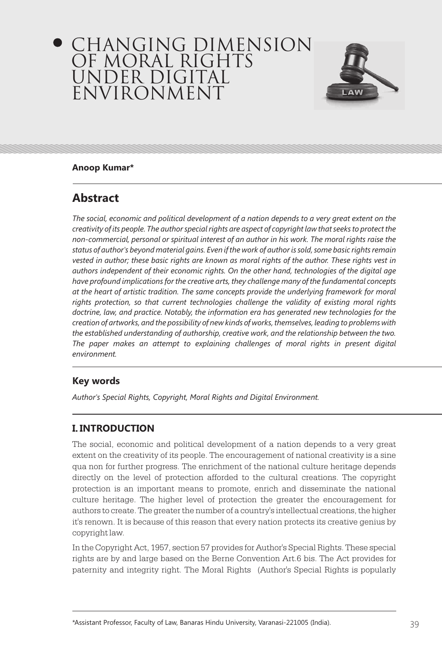# CHANGING DIMENSION OF MORAL RIGHTS UNDER DIGITAL ENVIRONMENT



### **Anoop Kumar\***

# **Abstract**

*The social, economic and political development of a nation depends to a very great extent on the creativity of its people. The author special rights are aspect of copyright law that seeks to protect the non-commercial, personal or spiritual interest of an author in his work. The moral rights raise the status of author's beyond material gains. Even if the work of author is sold, some basic rights remain vested in author; these basic rights are known as moral rights of the author. These rights vest in authors independent of their economic rights. On the other hand, technologies of the digital age have profound implications for the creative arts, they challenge many of the fundamental concepts at the heart of artistic tradition. The same concepts provide the underlying framework for moral rights protection, so that current technologies challenge the validity of existing moral rights doctrine, law, and practice. Notably, the information era has generated new technologies for the creation of artworks, and the possibility of new kinds of works, themselves, leading to problems with the established understanding of authorship, creative work, and the relationship between the two. The paper makes an attempt to explaining challenges of moral rights in present digital environment.*

# **Key words**

*Author's Special Rights, Copyright, Moral Rights and Digital Environment.*

# **I. INTRODUCTION**

The social, economic and political development of a nation depends to a very great extent on the creativity of its people. The encouragement of national creativity is a sine qua non for further progress. The enrichment of the national culture heritage depends directly on the level of protection afforded to the cultural creations. The copyright protection is an important means to promote, enrich and disseminate the national culture heritage. The higher level of protection the greater the encouragement for authors to create. The greater the number of a country's intellectual creations, the higher it's renown. It is because of this reason that every nation protects its creative genius by copyright law.

In the Copyright Act, 1957, section 57 provides for Author's Special Rights. These special rights are by and large based on the Berne Convention Art.6 bis. The Act provides for paternity and integrity right. The Moral Rights (Author's Special Rights is popularly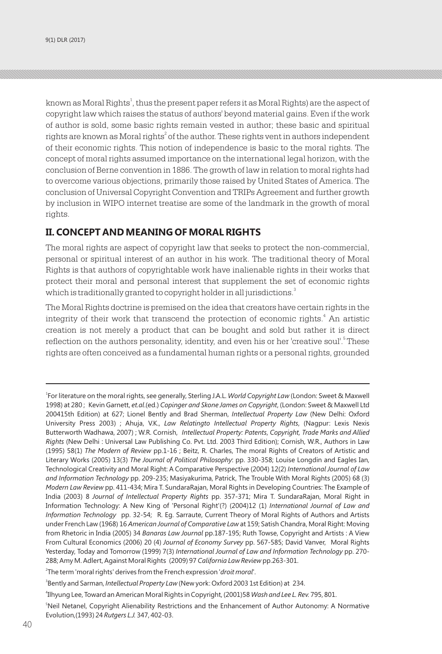known as Moral Rights $^{\rm l}$ , thus the present paper refers it as Moral Rights) are the aspect of copyright law which raises the status of authors' beyond material gains. Even if the work of author is sold, some basic rights remain vested in author; these basic and spiritual rights are known as Moral rights $^{\circ}$  of the author. These rights vent in authors independent of their economic rights. This notion of independence is basic to the moral rights. The concept of moral rights assumed importance on the international legal horizon, with the conclusion of Berne convention in 1886. The growth of law in relation to moral rights had to overcome various objections, primarily those raised by United States of America. The conclusion of Universal Copyright Convention and TRIPs Agreement and further growth by inclusion in WIPO internet treatise are some of the landmark in the growth of moral rights.

### **II. CONCEPT AND MEANING OF MORAL RIGHTS**

The moral rights are aspect of copyright law that seeks to protect the non-commercial, personal or spiritual interest of an author in his work. The traditional theory of Moral Rights is that authors of copyrightable work have inalienable rights in their works that protect their moral and personal interest that supplement the set of economic rights which is traditionally granted to copyright holder in all jurisdictions.<sup>3</sup>

The Moral Rights doctrine is premised on the idea that creators have certain rights in the integrity of their work that transcend the protection of economic rights.<sup>4</sup> An artistic creation is not merely a product that can be bought and sold but rather it is direct reflection on the authors personality, identity, and even his or her 'creative soul'. These rights are often conceived as a fundamental human rights or a personal rights, grounded

2 The term 'moral rights' derives from the French expression '*droit moral*'.

3 Bently and Sarman, *Intellectual Property Law* (New york: Oxford 2003 1st Edition) at 234.

4 Ilhyung Lee, Toward an American Moral Rights in Copyright, (2001)58 *Wash and Lee L. Rev.* 795, 801.

<sup>1</sup> For literature on the moral rights, see generally, Sterling J.A.L. *World Copyright Law* (London: Sweet & Maxwell 1998) at 280 ; Kevin Garnett, *et.al*.(ed.) *Copinger and Skone James on Copyright*, (London: Sweet & Maxwell Ltd 200415th Edition) at 627; Lionel Bently and Brad Sherman, *Intellectual Property Law* (New Delhi: Oxford University Press 2003) ; Ahuja, V.K., *Law Relatingto Intellectual Property Rights*, (Nagpur: Lexis Nexis Butterworth Wadhawa, 2007) ; W.R. Cornish, *Intellectual Property: Patents*, *Copyright, Trade Marks and Allied Rights* (New Delhi : Universal Law Publishing Co. Pvt. Ltd. 2003 Third Edition); Cornish, W.R., Authors in Law (1995) 58(1) *The Modern of Review* pp.1-16 ; Beitz, R. Charles, The moral Rights of Creators of Artistic and Literary Works (2005) 13(3) *The Journal of Political Philosophy*: pp. 330-358; Louise Longdin and Eagles Ian, Technological Creativity and Moral Right: A Comparative Perspective (2004) 12(2) *International Journal of Law and Information Technology* pp. 209-235; Masiyakurima, Patrick, The Trouble With Moral Rights (2005) 68 (3) *Modern Law Review* pp. 411-434; Mira T. SundaraRajan, Moral Rights in Developing Countries: The Example of India (2003) 8 *Journal of Intellectual Property Rights* pp. 357-371; Mira T. SundaraRajan, Moral Right in Information Technology: A New King of 'Personal Right'(?) (2004)12 (1) *International Journal of Law and Information Technology* pp. 32-54; R. Eg. Sarraute, Current Theory of Moral Rights of Authors and Artists under French Law (1968) 16 *American Journal of Comparative Law* at 159; Satish Chandra, Moral Right: Moving from Rhetoric in India (2005) 34 *Banaras Law Journal* pp.187-195; Ruth Towse, Copyright and Artists : A View From Cultural Economics (2006) 20 (4) *Journal of Economy Survey* pp. 567-585; David Vanver, Moral Rights Yesterday, Today and Tomorrow (1999) 7(3) *International Journal of Law and Information Technology* pp. 270- 288; Amy M. Adlert, Against Moral Rights (2009) 97 *California Law Review* pp.263-301.

<sup>&</sup>lt;sup>5</sup>Neil Netanel, Copyright Alienability Restrictions and the Enhancement of Author Autonomy: A Normative Evolution,(1993) 24 *Rutgers L.J.* 347, 402-03.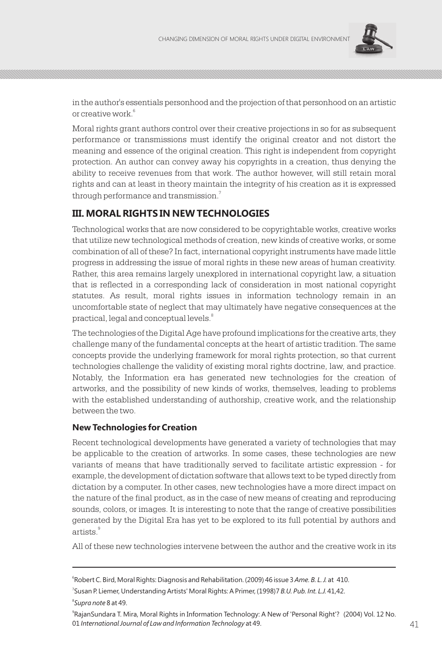

in the author's essentials personhood and the projection of that personhood on an artistic 6 or creative work.

Moral rights grant authors control over their creative projections in so for as subsequent performance or transmissions must identify the original creator and not distort the meaning and essence of the original creation. This right is independent from copyright protection. An author can convey away his copyrights in a creation, thus denying the ability to receive revenues from that work. The author however, will still retain moral rights and can at least in theory maintain the integrity of his creation as it is expressed through performance and transmission.<sup>7</sup>

### **III. MORAL RIGHTS IN NEW TECHNOLOGIES**

Technological works that are now considered to be copyrightable works, creative works that utilize new technological methods of creation, new kinds of creative works, or some combination of all of these? In fact, international copyright instruments have made little progress in addressing the issue of moral rights in these new areas of human creativity. Rather, this area remains largely unexplored in international copyright law, a situation that is reflected in a corresponding lack of consideration in most national copyright statutes. As result, moral rights issues in information technology remain in an uncomfortable state of neglect that may ultimately have negative consequences at the practical, legal and conceptual levels. $^{\mathrm{s}}$ 

The technologies of the Digital Age have profound implications for the creative arts, they challenge many of the fundamental concepts at the heart of artistic tradition. The same concepts provide the underlying framework for moral rights protection, so that current technologies challenge the validity of existing moral rights doctrine, law, and practice. Notably, the Information era has generated new technologies for the creation of artworks, and the possibility of new kinds of works, themselves, leading to problems with the established understanding of authorship, creative work, and the relationship between the two.

#### **New Technologies for Creation**

Recent technological developments have generated a variety of technologies that may be applicable to the creation of artworks. In some cases, these technologies are new variants of means that have traditionally served to facilitate artistic expression - for example, the development of dictation software that allows text to be typed directly from dictation by a computer. In other cases, new technologies have a more direct impact on the nature of the final product, as in the case of new means of creating and reproducing sounds, colors, or images. It is interesting to note that the range of creative possibilities generated by the Digital Era has yet to be explored to its full potential by authors and artists.<sup>9</sup>

All of these new technologies intervene between the author and the creative work in its

<sup>6</sup> Robert C. Bird, Moral Rights: Diagnosis and Rehabilitation. (2009) 46 issue 3 *Ame. B. L. J.* at 410.

<sup>7</sup> Susan P. Liemer, Understanding Artists' Moral Rights: A Primer, (1998)7 *B.U. Pub. Int. L.J.* 41,42.

<sup>8</sup> *Supra note* 8 at 49.

<sup>9</sup> RajanSundara T. Mira, Moral Rights in Information Technology: A New of 'Personal Right'? (2004) Vol. 12 No. 01 *International Journal of Law and Information Technology* at 49. 40 41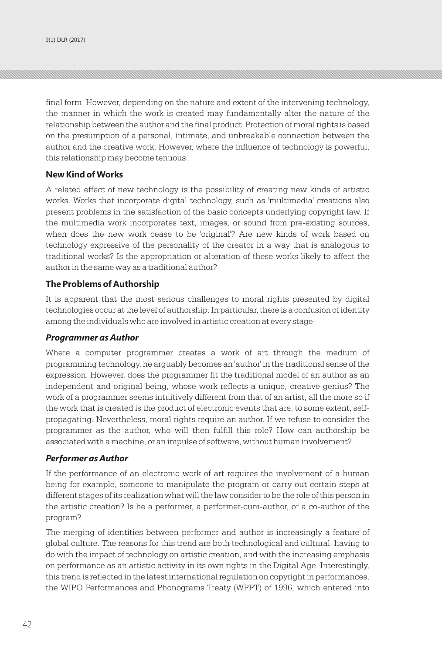final form. However, depending on the nature and extent of the intervening technology, the manner in which the work is created may fundamentally alter the nature of the relationship between the author and the final product. Protection of moral rights is based on the presumption of a personal, intimate, and unbreakable connection between the author and the creative work. However, where the influence of technology is powerful, this relationship may become tenuous.

#### **New Kind of Works**

A related effect of new technology is the possibility of creating new kinds of artistic works. Works that incorporate digital technology, such as 'multimedia' creations also present problems in the satisfaction of the basic concepts underlying copyright law. If the multimedia work incorporates text, images, or sound from pre-existing sources, when does the new work cease to be 'original'? Are new kinds of work based on technology expressive of the personality of the creator in a way that is analogous to traditional works? Is the appropriation or alteration of these works likely to affect the author in the same way as a traditional author?

#### **The Problems of Authorship**

It is apparent that the most serious challenges to moral rights presented by digital technologies occur at the level of authorship. In particular, there is a confusion of identity among the individuals who are involved in artistic creation at every stage.

#### *Programmer as Author*

Where a computer programmer creates a work of art through the medium of programming technology, he arguably becomes an 'author' in the traditional sense of the expression. However, does the programmer fit the traditional model of an author as an independent and original being, whose work reflects a unique, creative genius? The work of a programmer seems intuitively different from that of an artist, all the more so if the work that is created is the product of electronic events that are, to some extent, selfpropagating. Nevertheless, moral rights require an author. If we refuse to consider the programmer as the author, who will then fulfill this role? How can authorship be associated with a machine, or an impulse of software, without human involvement?

#### *Performer as Author*

If the performance of an electronic work of art requires the involvement of a human being for example, someone to manipulate the program or carry out certain steps at different stages of its realization what will the law consider to be the role of this person in the artistic creation? Is he a performer, a performer-cum-author, or a co-author of the program?

The merging of identities between performer and author is increasingly a feature of global culture. The reasons for this trend are both technological and cultural, having to do with the impact of technology on artistic creation, and with the increasing emphasis on performance as an artistic activity in its own rights in the Digital Age. Interestingly, this trend is reflected in the latest international regulation on copyright in performances, the WIPO Performances and Phonograms Treaty (WPPT) of 1996, which entered into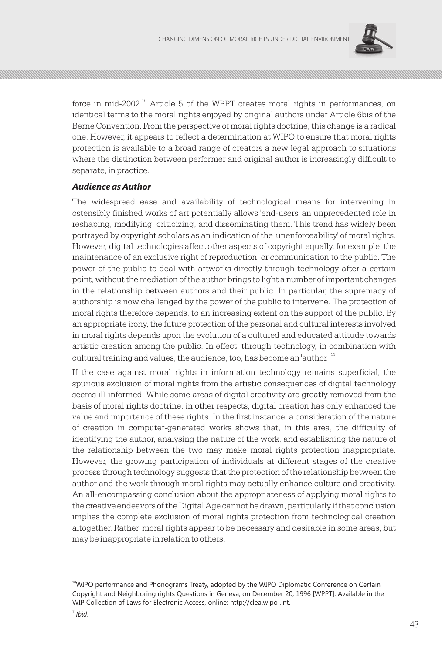

force in mid-2002. $^{10}$  Article 5 of the WPPT creates moral rights in performances, on identical terms to the moral rights enjoyed by original authors under Article 6bis of the Berne Convention. From the perspective of moral rights doctrine, this change is a radical one. However, it appears to reflect a determination at WIPO to ensure that moral rights protection is available to a broad range of creators a new legal approach to situations where the distinction between performer and original author is increasingly difficult to separate, in practice.

#### *Audience as Author*

The widespread ease and availability of technological means for intervening in ostensibly finished works of art potentially allows 'end-users' an unprecedented role in reshaping, modifying, criticizing, and disseminating them. This trend has widely been portrayed by copyright scholars as an indication of the 'unenforceability' of moral rights. However, digital technologies affect other aspects of copyright equally, for example, the maintenance of an exclusive right of reproduction, or communication to the public. The power of the public to deal with artworks directly through technology after a certain point, without the mediation of the author brings to light a number of important changes in the relationship between authors and their public. In particular, the supremacy of authorship is now challenged by the power of the public to intervene. The protection of moral rights therefore depends, to an increasing extent on the support of the public. By an appropriate irony, the future protection of the personal and cultural interests involved in moral rights depends upon the evolution of a cultured and educated attitude towards artistic creation among the public. In effect, through technology, in combination with cultural training and values, the audience, too, has become an 'author.'<sup>11</sup>

If the case against moral rights in information technology remains superficial, the spurious exclusion of moral rights from the artistic consequences of digital technology seems ill-informed. While some areas of digital creativity are greatly removed from the basis of moral rights doctrine, in other respects, digital creation has only enhanced the value and importance of these rights. In the first instance, a consideration of the nature of creation in computer-generated works shows that, in this area, the difficulty of identifying the author, analysing the nature of the work, and establishing the nature of the relationship between the two may make moral rights protection inappropriate. However, the growing participation of individuals at different stages of the creative process through technology suggests that the protection of the relationship between the author and the work through moral rights may actually enhance culture and creativity. An all-encompassing conclusion about the appropriateness of applying moral rights to the creative endeavors of the Digital Age cannot be drawn, particularly if that conclusion implies the complete exclusion of moral rights protection from technological creation altogether. Rather, moral rights appear to be necessary and desirable in some areas, but may be inappropriate in relation to others.

<sup>&</sup>lt;sup>10</sup>WIPO performance and Phonograms Treaty, adopted by the WIPO Diplomatic Conference on Certain Copyright and Neighboring rights Questions in Geneva; on December 20, 1996 [WPPT]. Available in the WIP Collection of Laws for Electronic Access, online: http://clea.wipo .int.  $11$ *Ibid.*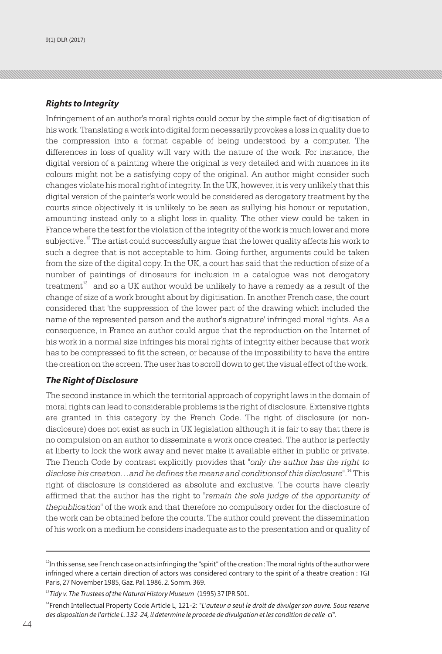### *Rights to Integrity*

Infringement of an author's moral rights could occur by the simple fact of digitisation of his work. Translating a work into digital form necessarily provokes a loss in quality due to the compression into a format capable of being understood by a computer. The differences in loss of quality will vary with the nature of the work. For instance, the digital version of a painting where the original is very detailed and with nuances in its colours might not be a satisfying copy of the original. An author might consider such changes violate his moral right of integrity. In the UK, however, it is very unlikely that this digital version of the painter's work would be considered as derogatory treatment by the courts since objectively it is unlikely to be seen as sullying his honour or reputation, amounting instead only to a slight loss in quality. The other view could be taken in France where the test for the violation of the integrity of the work is much lower and more subjective.<sup>12</sup> The artist could successfully argue that the lower quality affects his work to such a degree that is not acceptable to him. Going further, arguments could be taken from the size of the digital copy. In the UK, a court has said that the reduction of size of a number of paintings of dinosaurs for inclusion in a catalogue was not derogatory  $13$  treatment<sup>13</sup> and so a UK author would be unlikely to have a remedy as a result of the change of size of a work brought about by digitisation. In another French case, the court considered that 'the suppression of the lower part of the drawing which included the name of the represented person and the author's signature' infringed moral rights. As a consequence, in France an author could argue that the reproduction on the Internet of his work in a normal size infringes his moral rights of integrity either because that work has to be compressed to fit the screen, or because of the impossibility to have the entire the creation on the screen. The user has to scroll down to get the visual effect of the work.

#### *The Right of Disclosure*

The second instance in which the territorial approach of copyright laws in the domain of moral rights can lead to considerable problems is the right of disclosure. Extensive rights are granted in this category by the French Code. The right of disclosure (or nondisclosure) does not exist as such in UK legislation although it is fair to say that there is no compulsion on an author to disseminate a work once created. The author is perfectly at liberty to lock the work away and never make it available either in public or private. The French Code by contrast explicitly provides that "*only the author has the right to*  <sup>14</sup> *disclose his creation…and he defines the means and conditionsof this disclosure"*. This right of disclosure is considered as absolute and exclusive. The courts have clearly affirmed that the author has the right to "*remain the sole judge of the opportunity of thepublication*" of the work and that therefore no compulsory order for the disclosure of the work can be obtained before the courts. The author could prevent the dissemination of his work on a medium he considers inadequate as to the presentation and or quality of

 $12$ In this sense, see French case on acts infringing the "spirit" of the creation: The moral rights of the author were infringed where a certain direction of actors was considered contrary to the spirit of a theatre creation : TGI Paris, 27 November 1985, Gaz. Pal. 1986. 2. Somm. 369.

<sup>13</sup>*Tidy v. The Trustees of the Natural History Museum* (1995) 37 IPR 501.

<sup>14</sup>French Intellectual Property Code Article L, 121-2: *"L'auteur a seul le droit de divulger son auvre. Sous reserve des disposition de l'article L. 132-24, il determine le procede de divulgation et les condition de celle-ci".*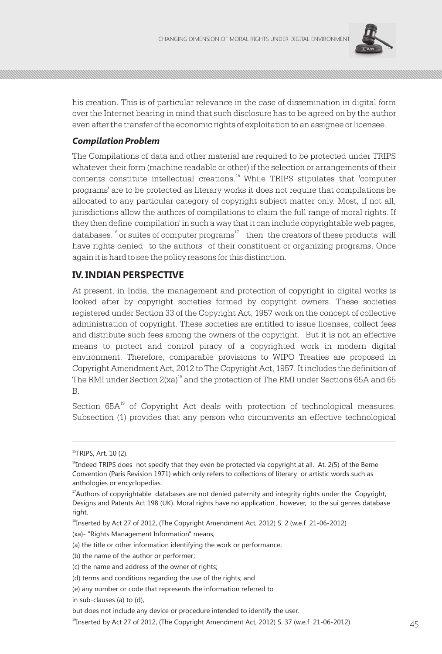

his creation. This is of particular relevance in the case of dissemination in digital form over the Internet bearing in mind that such disclosure has to be agreed on by the author even after the transfer of the economic rights of exploitation to an assignee or licensee.

### *Compilation Problem*

The Compilations of data and other material are required to be protected under TRIPS whatever their form (machine readable or other) if the selection or arrangements of their contents constitute intellectual creations.<sup>15</sup> While TRIPS stipulates that 'computer programs' are to be protected as literary works it does not require that compilations be allocated to any particular category of copyright subject matter only. Most, if not all, jurisdictions allow the authors of compilations to claim the full range of moral rights. If they then define 'compilation' in such a way that it can include copyrightable web pages, databases. $^{16}$  or suites of computer programs $^{17}$  then the creators of these products will have rights denied to the authors of their constituent or organizing programs. Once again it is hard to see the policy reasons for this distinction.

### **IV. INDIAN PERSPECTIVE**

At present, in India, the management and protection of copyright in digital works is looked after by copyright societies formed by copyright owners. These societies registered under Section 33 of the Copyright Act, 1957 work on the concept of collective administration of copyright. These societies are entitled to issue licenses, collect fees and distribute such fees among the owners of the copyright. But it is not an effective means to protect and control piracy of a copyrighted work in modern digital environment. Therefore, comparable provisions to WIPO Treaties are proposed in Copyright Amendment Act, 2012 to The Copyright Act, 1957. It includes the definition of The RMI under Section  $2(xa)^{18}$  and the protection of The RMI under Sections 65A and 65 B.

Section  $65A^{19}$  of Copyright Act deals with protection of technological measures. Subsection (1) provides that any person who circumvents an effective technological

(b) the name of the author or performer;

- (d) terms and conditions regarding the use of the rights; and
- (e) any number or code that represents the information referred to

in sub-clauses (a) to (d),

<sup>&</sup>lt;sup>15</sup>TRIPS, Art. 10 (2).

 $16$ Indeed TRIPS does not specify that they even be protected via copyright at all. At. 2(5) of the Berne Convention (Paris Revision 1971) which only refers to collections of literary or artistic words such as anthologies or encyclopedias.

 $17$ Authors of copyrightable databases are not denied paternity and integrity rights under the Copyright, Designs and Patents Act 198 (UK). Moral rights have no application , however, to the sui genres database right.

<sup>&</sup>lt;sup>18</sup>Inserted by Act 27 of 2012, (The Copyright Amendment Act, 2012) S. 2 (w.e.f 21-06-2012)

<sup>(</sup>xa)- "Rights Management Information" means,

<sup>(</sup>a) the title or other information identifying the work or performance;

<sup>(</sup>c) the name and address of the owner of rights;

but does not include any device or procedure intended to identify the user.

 $^{19}$ Inserted by Act 27 of 2012, (The Copyright Amendment Act, 2012) S. 37 (w.e.f 21-06-2012).  $45$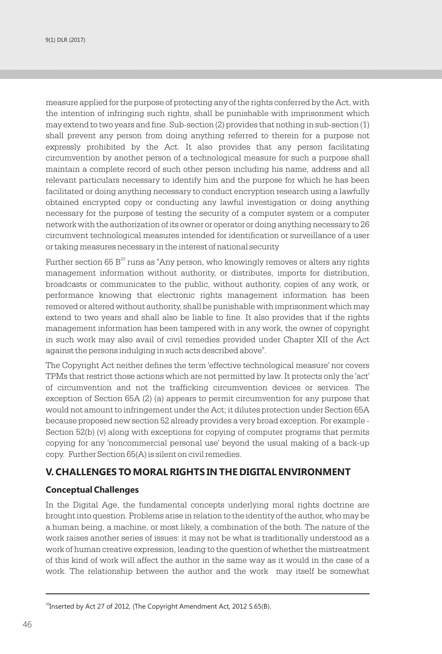9(1) DLR (2017) CHANGING DIMENSION OF MORAL RIGHTS UNDER DIMENSION OF MORAL RIGHTS UNDER DIGITAL ENVIRONMENT D

measure applied for the purpose of protecting any of the rights conferred by the Act, with the intention of infringing such rights, shall be punishable with imprisonment which may extend to two years and fine. Sub-section (2) provides that nothing in sub-section (1) shall prevent any person from doing anything referred to therein for a purpose not expressly prohibited by the Act. It also provides that any person facilitating circumvention by another person of a technological measure for such a purpose shall maintain a complete record of such other person including his name, address and all relevant particulars necessary to identify him and the purpose for which he has been facilitated or doing anything necessary to conduct encryption research using a lawfully obtained encrypted copy or conducting any lawful investigation or doing anything necessary for the purpose of testing the security of a computer system or a computer network with the authorization of its owner or operator or doing anything necessary to 26 circumvent technological measures intended for identification or surveillance of a user or taking measures necessary in the interest of national security

Further section 65  $B^{20}$  runs as "Any person, who knowingly removes or alters any rights management information without authority, or distributes, imports for distribution, broadcasts or communicates to the public, without authority, copies of any work, or performance knowing that electronic rights management information has been removed or altered without authority, shall be punishable with imprisonment which may extend to two years and shall also be liable to fine. It also provides that if the rights management information has been tampered with in any work, the owner of copyright in such work may also avail of civil remedies provided under Chapter XII of the Act against the persons indulging in such acts described above".

The Copyright Act neither defines the term 'effective technological measure' nor covers TPMs that restrict those actions which are not permitted by law. It protects only the 'act' of circumvention and not the trafficking circumvention devices or services. The exception of Section 65A (2) (a) appears to permit circumvention for any purpose that would not amount to infringement under the Act; it dilutes protection under Section 65A because proposed new section 52 already provides a very broad exception. For example - Section 52(b) (v) along with exceptions for copying of computer programs that permits copying for any 'noncommercial personal use' beyond the usual making of a back-up copy. Further Section 65(A) is silent on civil remedies.

### **V. CHALLENGES TO MORAL RIGHTS IN THE DIGITAL ENVIRONMENT**

### **Conceptual Challenges**

In the Digital Age, the fundamental concepts underlying moral rights doctrine are brought into question. Problems arise in relation to the identity of the author, who may be a human being, a machine, or most likely, a combination of the both. The nature of the work raises another series of issues: it may not be what is traditionally understood as a work of human creative expression, leading to the question of whether the mistreatment of this kind of work will affect the author in the same way as it would in the case of a work. The relationship between the author and the work may itself be somewhat

 $^{20}$ Inserted by Act 27 of 2012, (The Copyright Amendment Act, 2012 S.65(B).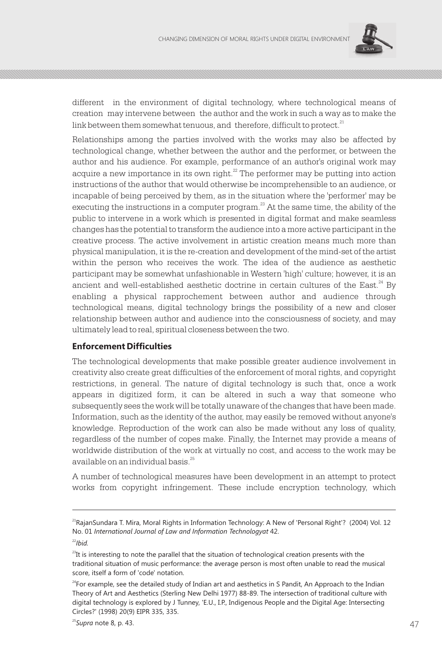

different in the environment of digital technology, where technological means of creation may intervene between the author and the work in such a way as to make the link between them somewhat tenuous, and therefore, difficult to protect.<sup>21</sup>

Relationships among the parties involved with the works may also be affected by technological change, whether between the author and the performer, or between the author and his audience. For example, performance of an author's original work may acquire a new importance in its own right. $^{22}$  The performer may be putting into action instructions of the author that would otherwise be incomprehensible to an audience, or incapable of being perceived by them, as in the situation where the 'performer' may be executing the instructions in a computer program. $^{23}$  At the same time, the ability of the public to intervene in a work which is presented in digital format and make seamless changes has the potential to transform the audience into a more active participant in the creative process. The active involvement in artistic creation means much more than physical manipulation, it is the re-creation and development of the mind-set of the artist within the person who receives the work. The idea of the audience as aesthetic participant may be somewhat unfashionable in Western 'high' culture; however, it is an ancient and well-established aesthetic doctrine in certain cultures of the East. $^{24}$  By enabling a physical rapprochement between author and audience through technological means, digital technology brings the possibility of a new and closer relationship between author and audience into the consciousness of society, and may ultimately lead to real, spiritual closeness between the two.

#### **Enforcement Difficulties**

The technological developments that make possible greater audience involvement in creativity also create great difficulties of the enforcement of moral rights, and copyright restrictions, in general. The nature of digital technology is such that, once a work appears in digitized form, it can be altered in such a way that someone who subsequently sees the work will be totally unaware of the changes that have been made. Information, such as the identity of the author, may easily be removed without anyone's knowledge. Reproduction of the work can also be made without any loss of quality, regardless of the number of copes make. Finally, the Internet may provide a means of worldwide distribution of the work at virtually no cost, and access to the work may be available on an individual basis.<sup>25</sup>

A number of technological measures have been development in an attempt to protect works from copyright infringement. These include encryption technology, which

 $^{21}$ RajanSundara T. Mira, Moral Rights in Information Technology: A New of 'Personal Right'? (2004) Vol. 12 No. 01 *International Journal of Law and Information Technologyat* 42.

<sup>22</sup>*Ibid.*

 $^{23}$ It is interesting to note the parallel that the situation of technological creation presents with the traditional situation of music performance: the average person is most often unable to read the musical score, itself a form of 'code' notation.

<sup>&</sup>lt;sup>24</sup>For example, see the detailed study of Indian art and aesthetics in S Pandit, An Approach to the Indian Theory of Art and Aesthetics (Sterling New Delhi 1977) 88-89. The intersection of traditional culture with digital technology is explored by J Tunney, 'E.U., I.P., Indigenous People and the Digital Age: Intersecting Circles?' (1998) 20(9) EIPR 335, 335.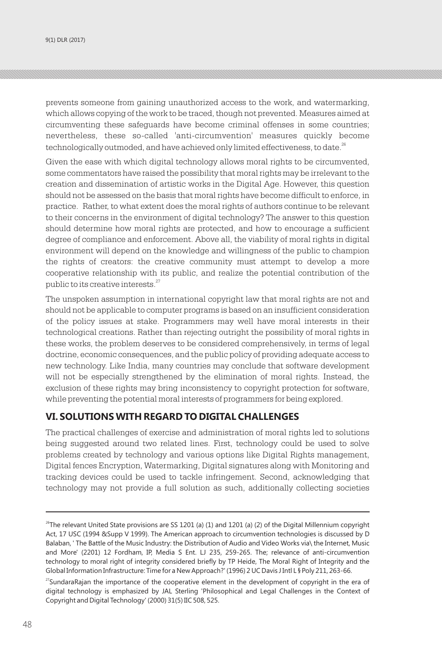prevents someone from gaining unauthorized access to the work, and watermarking, which allows copying of the work to be traced, though not prevented. Measures aimed at circumventing these safeguards have become criminal offenses in some countries; nevertheless, these so-called 'anti-circumvention' measures quickly become technologically outmoded, and have achieved only limited effectiveness, to date.<sup>26</sup>

Given the ease with which digital technology allows moral rights to be circumvented, some commentators have raised the possibility that moral rights may be irrelevant to the creation and dissemination of artistic works in the Digital Age. However, this question should not be assessed on the basis that moral rights have become difficult to enforce, in practice. Rather, to what extent does the moral rights of authors continue to be relevant to their concerns in the environment of digital technology? The answer to this question should determine how moral rights are protected, and how to encourage a sufficient degree of compliance and enforcement. Above all, the viability of moral rights in digital environment will depend on the knowledge and willingness of the public to champion the rights of creators: the creative community must attempt to develop a more cooperative relationship with its public, and realize the potential contribution of the public to its creative interests.<sup>27</sup>

The unspoken assumption in international copyright law that moral rights are not and should not be applicable to computer programs is based on an insufficient consideration of the policy issues at stake. Programmers may well have moral interests in their technological creations. Rather than rejecting outright the possibility of moral rights in these works, the problem deserves to be considered comprehensively, in terms of legal doctrine, economic consequences, and the public policy of providing adequate access to new technology. Like India, many countries may conclude that software development will not be especially strengthened by the elimination of moral rights. Instead, the exclusion of these rights may bring inconsistency to copyright protection for software, while preventing the potential moral interests of programmers for being explored.

# **VI. SOLUTIONS WITH REGARD TO DIGITAL CHALLENGES**

The practical challenges of exercise and administration of moral rights led to solutions being suggested around two related lines. First, technology could be used to solve problems created by technology and various options like Digital Rights management, Digital fences Encryption, Watermarking, Digital signatures along with Monitoring and tracking devices could be used to tackle infringement. Second, acknowledging that technology may not provide a full solution as such, additionally collecting societies

<sup>&</sup>lt;sup>26</sup>The relevant United State provisions are SS 1201 (a) (1) and 1201 (a) (2) of the Digital Millennium copyright Act, 17 USC (1994 &Supp V 1999). The American approach to circumvention technologies is discussed by D Balaban, ' The Battle of the Music Industry: the Distribution of Audio and Video Works via\ the Internet, Music and More' (2201) 12 Fordham, IP, Media S Ent. LJ 235, 259-265. The; relevance of anti-circumvention technology to moral right of integrity considered briefly by TP Heide, The Moral Right of Integrity and the Global Information Infrastructure: Time for a New Approach?' (1996) 2 UC Davis J Intl L § Poly 211, 263-66.

 $^{27}$ SundaraRajan the importance of the cooperative element in the development of copyright in the era of digital technology is emphasized by JAL Sterling 'Philosophical and Legal Challenges in the Context of Copyright and Digital Technology' (2000) 31(5) IIC 508, 525.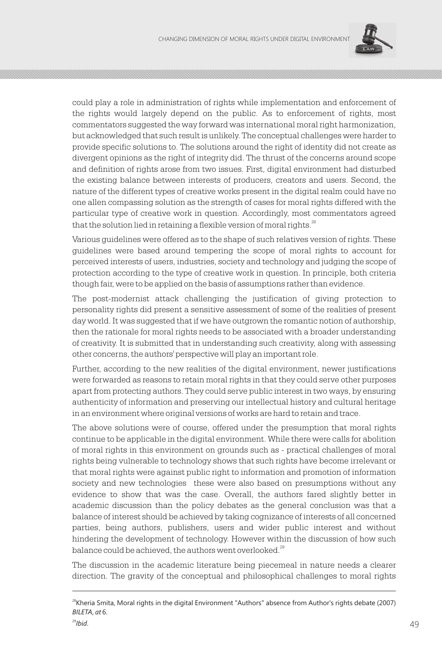

could play a role in administration of rights while implementation and enforcement of the rights would largely depend on the public. As to enforcement of rights, most commentators suggested the way forward was international moral right harmonization, but acknowledged that such result is unlikely. The conceptual challenges were harder to provide specific solutions to. The solutions around the right of identity did not create as divergent opinions as the right of integrity did. The thrust of the concerns around scope and definition of rights arose from two issues. First, digital environment had disturbed the existing balance between interests of producers, creators and users. Second, the nature of the different types of creative works present in the digital realm could have no one allen compassing solution as the strength of cases for moral rights differed with the particular type of creative work in question. Accordingly, most commentators agreed that the solution lied in retaining a flexible version of moral rights.<sup>28</sup>

Various guidelines were offered as to the shape of such relatives version of rights. These guidelines were based around tempering the scope of moral rights to account for perceived interests of users, industries, society and technology and judging the scope of protection according to the type of creative work in question. In principle, both criteria though fair, were to be applied on the basis of assumptions rather than evidence.

The post-modernist attack challenging the justification of giving protection to personality rights did present a sensitive assessment of some of the realities of present day world. It was suggested that if we have outgrown the romantic notion of authorship, then the rationale for moral rights needs to be associated with a broader understanding of creativity. It is submitted that in understanding such creativity, along with assessing other concerns, the authors' perspective will play an important role.

Further, according to the new realities of the digital environment, newer justifications were forwarded as reasons to retain moral rights in that they could serve other purposes apart from protecting authors. They could serve public interest in two ways, by ensuring authenticity of information and preserving our intellectual history and cultural heritage in an environment where original versions of works are hard to retain and trace.

The above solutions were of course, offered under the presumption that moral rights continue to be applicable in the digital environment. While there were calls for abolition of moral rights in this environment on grounds such as - practical challenges of moral rights being vulnerable to technology shows that such rights have become irrelevant or that moral rights were against public right to information and promotion of information society and new technologies these were also based on presumptions without any evidence to show that was the case. Overall, the authors fared slightly better in academic discussion than the policy debates as the general conclusion was that a balance of interest should be achieved by taking cognizance of interests of all concerned parties, being authors, publishers, users and wider public interest and without hindering the development of technology. However within the discussion of how such balance could be achieved, the authors went overlooked.<sup>29</sup>

The discussion in the academic literature being piecemeal in nature needs a clearer direction. The gravity of the conceptual and philosophical challenges to moral rights

 $^{28}$ Kheria Smita, Moral rights in the digital Environment "Authors" absence from Author's rights debate (2007) *BILETA, at* 6.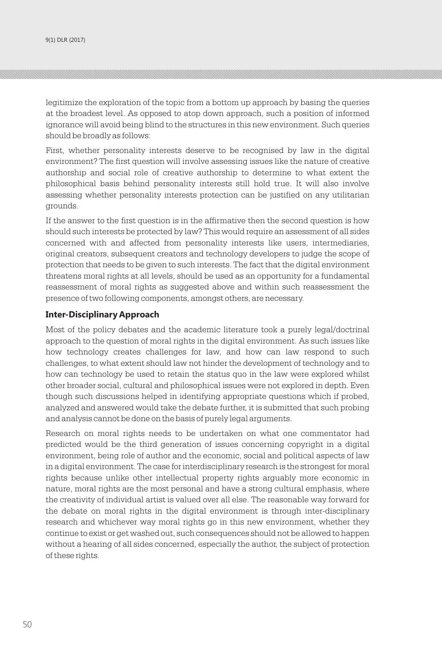legitimize the exploration of the topic from a bottom up approach by basing the queries at the broadest level. As opposed to atop down approach, such a position of informed ignorance will avoid being blind to the structures in this new environment. Such queries should be broadly as follows:

First, whether personality interests deserve to be recognised by law in the digital environment? The first question will involve assessing issues like the nature of creative authorship and social role of creative authorship to determine to what extent the philosophical basis behind personality interests still hold true. It will also involve assessing whether personality interests protection can be justified on any utilitarian grounds.

If the answer to the first question is in the affirmative then the second question is how should such interests be protected by law? This would require an assessment of all sides concerned with and affected from personality interests like users, intermediaries, original creators, subsequent creators and technology developers to judge the scope of protection that needs to be given to such interests. The fact that the digital environment threatens moral rights at all levels, should be used as an opportunity for a fundamental reassessment of moral rights as suggested above and within such reassessment the presence of two following components, amongst others, are necessary.

#### **Inter-Disciplinary Approach**

Most of the policy debates and the academic literature took a purely legal/doctrinal approach to the question of moral rights in the digital environment. As such issues like how technology creates challenges for law, and how can law respond to such challenges, to what extent should law not hinder the development of technology and to how can technology be used to retain the status quo in the law were explored whilst other broader social, cultural and philosophical issues were not explored in depth. Even though such discussions helped in identifying appropriate questions which if probed, analyzed and answered would take the debate further, it is submitted that such probing and analysis cannot be done on the basis of purely legal arguments.

Research on moral rights needs to be undertaken on what one commentator had predicted would be the third generation of issues concerning copyright in a digital environment, being role of author and the economic, social and political aspects of law in a digital environment. The case for interdisciplinary research is the strongest for moral rights because unlike other intellectual property rights arguably more economic in nature, moral rights are the most personal and have a strong cultural emphasis, where the creativity of individual artist is valued over all else. The reasonable way forward for the debate on moral rights in the digital environment is through inter-disciplinary research and whichever way moral rights go in this new environment, whether they continue to exist or get washed out, such consequences should not be allowed to happen without a hearing of all sides concerned, especially the author, the subject of protection of these rights.